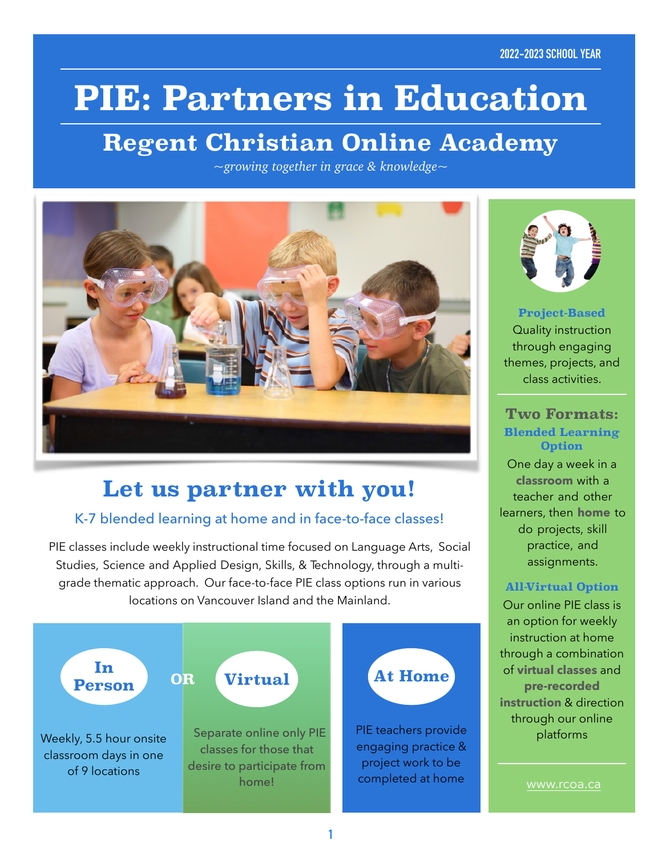# **PIE: Partners in Education**

## **Regent Christian Online Academy**

*~growing together in grace & knowledge~*



### **Let us partner with you!**

#### K-7 blended learning at home and in face-to-face classes!

PIE classes include weekly instructional time focused on Language Arts, Social Studies, Science and Applied Design, Skills, & Technology, through a multigrade thematic approach. Our face-to-face PIE class options run in various locations on Vancouver Island and the Mainland.





**Project-Based** Quality instruction through engaging themes, projects, and class activities.

#### **Two Formats: Blended Learning Option**

One day a week in a **classroom** with a teacher and other learners, then **home** to do projects, skill practice, and assignments.

#### **All-Virtual Option**

Our online PIE class is an option for weekly instruction at home through a combination of **virtual classes** and **pre-recorded instruction** & direction through our online platforms

[www.rcoa.ca](http://www.rcoa.ca)